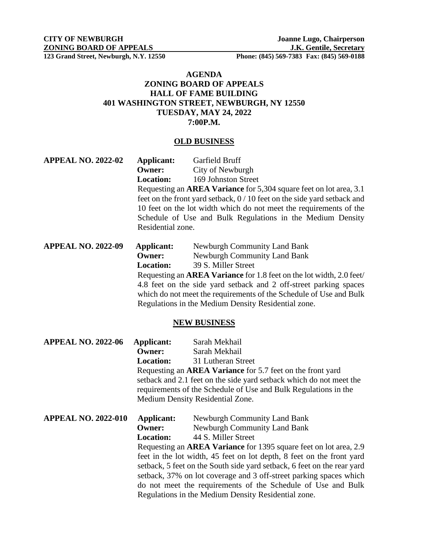## **AGENDA ZONING BOARD OF APPEALS HALL OF FAME BUILDING 401 WASHINGTON STREET, NEWBURGH, NY 12550 TUESDAY, MAY 24, 2022 7:00P.M.**

#### **OLD BUSINESS**

| <b>APPEAL NO. 2022-02</b> | Applicant:                                                                                                                       | Garfield Bruff                                                            |
|---------------------------|----------------------------------------------------------------------------------------------------------------------------------|---------------------------------------------------------------------------|
|                           | Owner:                                                                                                                           | City of Newburgh                                                          |
|                           | <b>Location:</b>                                                                                                                 | 169 Johnston Street                                                       |
|                           |                                                                                                                                  | Requesting an <b>AREA Variance</b> for 5,304 square feet on lot area, 3.1 |
|                           |                                                                                                                                  | feet on the front yard setback, $0/10$ feet on the side yard setback and  |
|                           | 10 feet on the lot width which do not meet the requirements of the<br>Schedule of Use and Bulk Regulations in the Medium Density |                                                                           |
|                           |                                                                                                                                  |                                                                           |
|                           | Residential zone.                                                                                                                |                                                                           |
| <b>APPEAL NO. 2022-09</b> | <b>Applicant:</b>                                                                                                                | <b>Newburgh Community Land Bank</b>                                       |
|                           | <b>Owner:</b>                                                                                                                    | <b>Newburgh Community Land Bank</b>                                       |
|                           | <b>Location:</b>                                                                                                                 | 39 S. Miller Street                                                       |
|                           | Requesting an <b>AREA Variance</b> for 1.8 feet on the lot width, 2.0 feet                                                       |                                                                           |
|                           |                                                                                                                                  | 4.8 feet on the side yard setback and 2 off-street parking spaces         |
|                           | which do not meet the requirements of the Schedule of Use and Bulk                                                               |                                                                           |
|                           |                                                                                                                                  | Regulations in the Medium Density Residential zone.                       |

### **NEW BUSINESS**

| <b>APPEAL NO. 2022-06</b>  | Applicant:                                                                                                                                                                                                             | Sarah Mekhail                |  |
|----------------------------|------------------------------------------------------------------------------------------------------------------------------------------------------------------------------------------------------------------------|------------------------------|--|
|                            | Owner:                                                                                                                                                                                                                 | Sarah Mekhail                |  |
|                            | <b>Location:</b>                                                                                                                                                                                                       | 31 Lutheran Street           |  |
|                            | Requesting an AREA Variance for 5.7 feet on the front yard                                                                                                                                                             |                              |  |
|                            | setback and 2.1 feet on the side yard setback which do not meet the                                                                                                                                                    |                              |  |
|                            | requirements of the Schedule of Use and Bulk Regulations in the                                                                                                                                                        |                              |  |
|                            | Medium Density Residential Zone.                                                                                                                                                                                       |                              |  |
| <b>APPEAL NO. 2022-010</b> | Applicant:                                                                                                                                                                                                             | Newburgh Community Land Bank |  |
|                            | <b>Owner:</b>                                                                                                                                                                                                          | Newburgh Community Land Bank |  |
|                            | <b>Location:</b>                                                                                                                                                                                                       | 44 S. Miller Street          |  |
|                            | Requesting an <b>AREA Variance</b> for 1395 square feet on lot area, 2.9                                                                                                                                               |                              |  |
|                            | feet in the lot width, 45 feet on lot depth, 8 feet on the front yard<br>setback, 5 feet on the South side yard setback, 6 feet on the rear yard<br>setback, 37% on lot coverage and 3 off-street parking spaces which |                              |  |
|                            |                                                                                                                                                                                                                        |                              |  |
|                            |                                                                                                                                                                                                                        |                              |  |
|                            | do not meet the requirements of the Schedule of Use and Bulk                                                                                                                                                           |                              |  |
|                            | Regulations in the Medium Density Residential zone.                                                                                                                                                                    |                              |  |